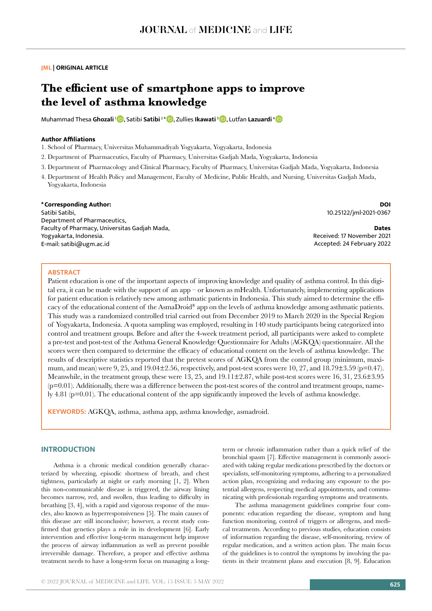# **JML | ORIGINAL ARTICLE**

# **The efficient use of smartphone apps to improve the level of asthma knowledge**

Muhammad Thesa Ghozali<sup>1</sup> D, Satibi Satibi<sup>2\*</sup> D, Zullies Ikawati<sup>3</sup> D, Lutfan Lazuardi<sup>[4](https://orcid.org/0000-0001-5146-8162)</sup> D

# **Author Affiliations**

1. School of Pharmacy, Universitas Muhammadiyah Yogyakarta, Yogyakarta, Indonesia

- 2. Department of Pharmaceutics, Faculty of Pharmacy, Universitas Gadjah Mada, Yogyakarta, Indonesia
- 3. Department of Pharmacology and Clinical Pharmacy, Faculty of Pharmacy, Universitas Gadjah Mada, Yogyakarta, Indonesia
- 4. Department of Health Policy and Management, Faculty of Medicine, Public Health, and Nursing, Universitas Gadjah Mada, Yogyakarta, Indonesia

# **\*Corresponding Author:**

Satibi Satibi, Department of Pharmaceutics, Faculty of Pharmacy, Universitas Gadjah Mada, Yogyakarta, Indonesia. E-mail: satibi@ugm.ac.id

**DOI** 10.25122/jml-2021-0367

**Dates** Received: 17 November 2021 Accepted: 24 February 2022

#### **ABSTRACT**

Patient education is one of the important aspects of improving knowledge and quality of asthma control. In this digital era, it can be made with the support of an app – or known as mHealth. Unfortunately, implementing applications for patient education is relatively new among asthmatic patients in Indonesia. This study aimed to determine the efficacy of the educational content of the AsmaDroid® app on the levels of asthma knowledge among asthmatic patients. This study was a randomized controlled trial carried out from December 2019 to March 2020 in the Special Region of Yogyakarta, Indonesia. A quota sampling was employed, resulting in 140 study participants being categorized into control and treatment groups. Before and after the 4-week treatment period, all participants were asked to complete a pre-test and post-test of the Asthma General Knowledge Questionnaire for Adults (AGKQA) questionnaire. All the scores were then compared to determine the efficacy of educational content on the levels of asthma knowledge. The results of descriptive statistics reported that the pretest scores of AGKQA from the control group (minimum, maximum, and mean) were 9, 25, and 19.04 $\pm$ 2.56, respectively, and post-test scores were 10, 27, and 18.79 $\pm$ 3.59 (p=0.47). Meanwhile, in the treatment group, these were 13, 25, and 19.11±2.87, while post-test scores were 16, 31, 23.6±3.95  $(p=0.01)$ . Additionally, there was a difference between the post-test scores of the control and treatment groups, namely 4.81 (p=0.01). The educational content of the app significantly improved the levels of asthma knowledge.

**KEYWORDS:** AGKQA, asthma, asthma app, asthma knowledge, asmadroid.

#### **INTRODUCTION**

Asthma is a chronic medical condition generally characterized by wheezing, episodic shortness of breath, and chest tightness, particularly at night or early morning [1, 2]. When this non-communicable disease is triggered, the airway lining becomes narrow, red, and swollen, thus leading to difficulty in breathing [3, 4], with a rapid and vigorous response of the muscles, also known as hyperresponsiveness [5]. The main causes of this disease are still inconclusive; however, a recent study confirmed that genetics plays a role in its development [6]. Early intervention and effective long-term management help improve the process of airway inflammation as well as prevent possible irreversible damage. Therefore, a proper and effective asthma treatment needs to have a long-term focus on managing a longterm or chronic inflammation rather than a quick relief of the bronchial spasm [7]. Effective management is commonly associated with taking regular medications prescribed by the doctors or specialists, self-monitoring symptoms, adhering to a personalized action plan, recognizing and reducing any exposure to the potential allergens, respecting medical appointments, and communicating with professionals regarding symptoms and treatments.

The asthma management guidelines comprise four components: education regarding the disease, symptom and lung function monitoring, control of triggers or allergens, and medical treatments. According to previous studies, education consists of information regarding the disease, self-monitoring, review of regular medication, and a written action plan. The main focus of the guidelines is to control the symptoms by involving the patients in their treatment plans and execution [8, 9]. Education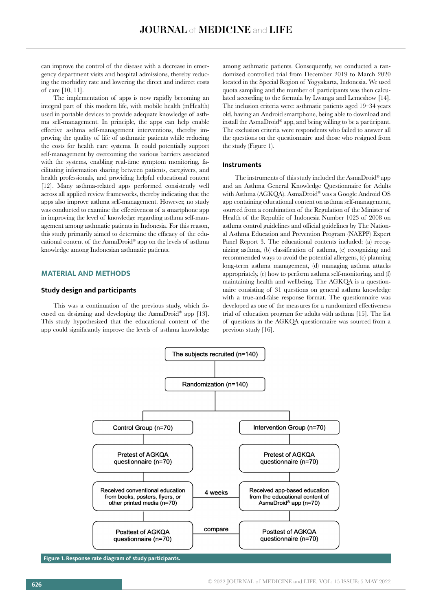can improve the control of the disease with a decrease in emergency department visits and hospital admissions, thereby reducing the morbidity rate and lowering the direct and indirect costs of care [10, 11].

The implementation of apps is now rapidly becoming an integral part of this modern life, with mobile health (mHealth) used in portable devices to provide adequate knowledge of asthma self-management. In principle, the apps can help enable effective asthma self-management interventions, thereby improving the quality of life of asthmatic patients while reducing the costs for health care systems. It could potentially support self-management by overcoming the various barriers associated with the systems, enabling real-time symptom monitoring, facilitating information sharing between patients, caregivers, and health professionals, and providing helpful educational content [12]. Many asthma-related apps performed consistently well across all applied review frameworks, thereby indicating that the apps also improve asthma self-management. However, no study was conducted to examine the effectiveness of a smartphone app in improving the level of knowledge regarding asthma self-management among asthmatic patients in Indonesia. For this reason, this study primarily aimed to determine the efficacy of the educational content of the AsmaDroid® app on the levels of asthma knowledge among Indonesian asthmatic patients.

# **MATERIAL AND METHODS**

# **Study design and participants**

This was a continuation of the previous study, which focused on designing and developing the AsmaDroid® app [13]. This study hypothesized that the educational content of the app could significantly improve the levels of asthma knowledge among asthmatic patients. Consequently, we conducted a randomized controlled trial from December 2019 to March 2020 located in the Special Region of Yogyakarta, Indonesia. We used quota sampling and the number of participants was then calculated according to the formula by Lwanga and Lemeshow [14]. The inclusion criteria were: asthmatic patients aged 19–34 years old, having an Android smartphone, being able to download and install the AsmaDroid® app, and being willing to be a participant. The exclusion criteria were respondents who failed to answer all the questions on the questionnaire and those who resigned from the study (Figure 1).

### **Instruments**

The instruments of this study included the AsmaDroid® app and an Asthma General Knowledge Questionnaire for Adults with Asthma (AGKQA). AsmaDroid® was a Google Android OS app containing educational content on asthma self-management, sourced from a combination of the Regulation of the Minister of Health of the Republic of Indonesia Number 1023 of 2008 on asthma control guidelines and official guidelines by The National Asthma Education and Prevention Program (NAEPP) Expert Panel Report 3. The educational contents included: (a) recognizing asthma, (b) classification of asthma, (c) recognizing and recommended ways to avoid the potential allergens, (c) planning long-term asthma management, (d) managing asthma attacks appropriately, (e) how to perform asthma self-monitoring, and (f) maintaining health and wellbeing. The AGKQA is a questionnaire consisting of 31 questions on general asthma knowledge with a true-and-false response format. The questionnaire was developed as one of the measures for a randomized effectiveness trial of education program for adults with asthma [15]. The list of questions in the AGKQA questionnaire was sourced from a previous study [16].



**Figure 1. Response rate diagram of study participants.**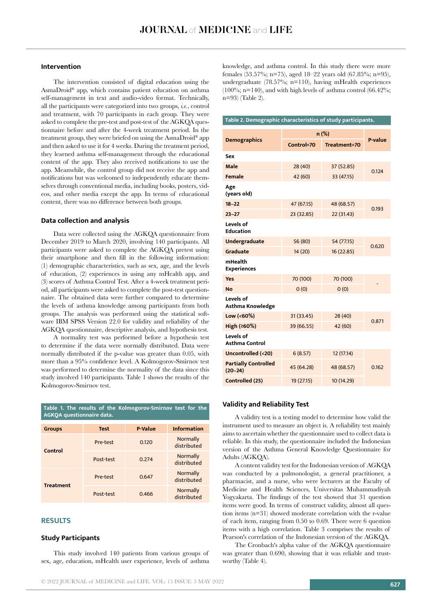# **Intervention**

The intervention consisted of digital education using the AsmaDroid® app, which contains patient education on asthma self-management in text and audio-video format. Technically, all the participants were categorized into two groups, *i.e.*, control and treatment, with 70 participants in each group. They were asked to complete the pre-test and post-test of the AGKQA questionnaire before and after the 4-week treatment period. In the treatment group, they were briefed on using the AsmaDroid® app and then asked to use it for 4 weeks. During the treatment period, they learned asthma self-management through the educational content of the app. They also received notifications to use the app. Meanwhile, the control group did not receive the app and notifications but was welcomed to independently educate themselves through conventional media, including books, posters, videos, and other media except the app. In terms of educational content, there was no difference between both groups.

# **Data collection and analysis**

Data were collected using the AGKQA questionnaire from December 2019 to March 2020, involving 140 participants. All participants were asked to complete the AGKQA pretest using their smartphone and then fill in the following information: (1) demographic characteristics, such as sex, age, and the levels of education, (2) experiences in using any mHealth app, and (3) scores of Asthma Control Test. After a 4-week treatment period, all participants were asked to complete the post-test questionnaire. The obtained data were further compared to determine the levels of asthma knowledge among participants from both groups. The analysis was performed using the statistical software IBM SPSS Version 22.0 for validity and reliability of the AGKQA questionnaire, descriptive analysis, and hypothesis test.

A normality test was performed before a hypothesis test to determine if the data were normally distributed. Data were normally distributed if the p-value was greater than 0.05, with more than a 95% confidence level. A Kolmogorov-Smirnov test was performed to determine the normality of the data since this study involved 140 participants. Table 1 shows the results of the Kolmogorov-Smirnov test.

| Table 1. The results of the Kolmogorov-Smirnov test for the<br><b>AGKOA</b> questionnaire data. |             |                |                                |  |
|-------------------------------------------------------------------------------------------------|-------------|----------------|--------------------------------|--|
| <b>Groups</b>                                                                                   | <b>Test</b> | <b>P-Value</b> | <b>Information</b>             |  |
| Control                                                                                         | Pre-test    | 0.120          | Normally<br>distributed        |  |
|                                                                                                 | Post-test   | 0.274          | <b>Normally</b><br>distributed |  |
| <b>Treatment</b>                                                                                | Pre-test    | 0.647          | Normally<br>distributed        |  |
|                                                                                                 | Post-test   | 0.466          | <b>Normally</b><br>distributed |  |

#### **RESULTS**

## **Study Participants**

This study involved 140 patients from various groups of sex, age, education, mHealth user experience, levels of asthma knowledge, and asthma control. In this study there were more females (53.57%; n=75), aged 18–22 years old (67.85%; n=95), undergraduate (78.57%; n=110), having mHealth experiences (100%; n=140), and with high levels of asthma control (66.42%; n=93) (Table 2).

| Table 2. Demographic characteristics of study participants. |            |              |         |  |
|-------------------------------------------------------------|------------|--------------|---------|--|
|                                                             | $n$ (%)    |              |         |  |
| <b>Demographics</b>                                         | Control=70 | Treatment=70 | P-value |  |
| Sex                                                         |            |              |         |  |
| Male                                                        | 28 (40)    | 37 (52.85)   |         |  |
| <b>Female</b>                                               | 42 (60)    | 33 (47.15)   | 0.124   |  |
| Age<br>(years old)                                          |            |              |         |  |
| $18 - 22$                                                   | 47 (67.15) | 48 (68.57)   | 0.193   |  |
| $23 - 27$                                                   | 23 (32.85) | 22(31.43)    |         |  |
| Levels of<br><b>Education</b>                               |            |              |         |  |
| Undergraduate                                               | 56 (80)    | 54 (77.15)   |         |  |
| Graduate                                                    | 14 (20)    | 16 (22.85)   | 0.620   |  |
| mHealth<br><b>Experiences</b>                               |            |              |         |  |
| <b>Yes</b>                                                  | 70 (100)   | 70 (100)     |         |  |
| <b>No</b>                                                   | 0(0)       | 0(0)         |         |  |
| Levels of<br>Asthma Knowledge                               |            |              |         |  |
| Low $(60%)$                                                 | 31 (33.45) | 28 (40)      | 0.871   |  |
| High (≥60%)                                                 | 39 (66.55) | 42 (60)      |         |  |
| Levels of<br><b>Asthma Control</b>                          |            |              |         |  |
| <b>Uncontrolled (&lt;20)</b>                                | 6(8.57)    | 12 (17.14)   |         |  |
| <b>Partially Controlled</b><br>$(20-24)$                    | 45 (64.28) | 48 (68.57)   | 0.162   |  |
| Controlled (25)                                             | 19 (27.15) | 10 (14.29)   |         |  |

#### **Validity and Reliability Test**

A validity test is a testing model to determine how valid the instrument used to measure an object is. A reliability test mainly aims to ascertain whether the questionnaire used to collect data is reliable. In this study, the questionnaire included the Indonesian version of the Asthma General Knowledge Questionnaire for Adults (AGKQA).

A content validity test for the Indonesian version of AGKQA was conducted by a pulmonologist, a general practitioner, a pharmacist, and a nurse, who were lecturers at the Faculty of Medicine and Health Sciences, Universitas Muhammadiyah Yogyakarta. The findings of the test showed that 31 question items were good. In terms of construct validity, almost all question items (n=31) showed moderate correlation with the r-value of each item, ranging from 0.50 to 0.69. There were 6 question items with a high correlation. Table 3 comprises the results of Pearson's correlation of the Indonesian version of the AGKQA.

The Cronbach's alpha value of the AGKQA questionnaire was greater than 0.690, showing that it was reliable and trustworthy (Table 4).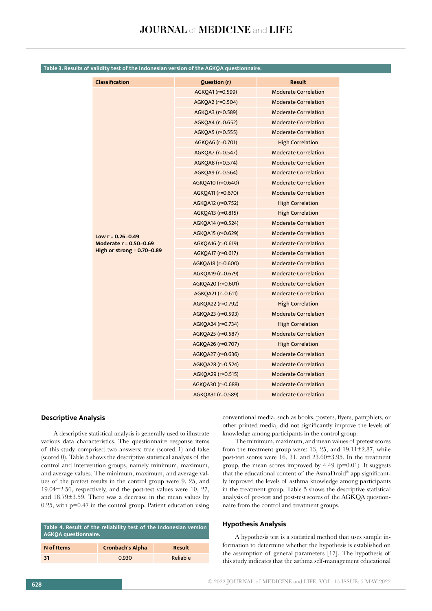| <b>Classification</b>          | <b>Question (r)</b> | <b>Result</b>               |
|--------------------------------|---------------------|-----------------------------|
|                                | AGKQA1 (r=0.599)    | <b>Moderate Correlation</b> |
|                                | AGKQA2 (r=0.504)    | <b>Moderate Correlation</b> |
|                                | AGKQA3 (r=0.589)    | <b>Moderate Correlation</b> |
|                                | AGKQA4 (r=0.652)    | <b>Moderate Correlation</b> |
|                                | AGKQA5 (r=0.555)    | <b>Moderate Correlation</b> |
|                                | AGKQA6 (r=0.701)    | <b>High Correlation</b>     |
|                                | AGKQA7 (r=0.547)    | <b>Moderate Correlation</b> |
|                                | AGKOA8 (r=0.574)    | <b>Moderate Correlation</b> |
|                                | AGKQA9 (r=0.564)    | <b>Moderate Correlation</b> |
|                                | AGKQA10 (r=0.640)   | <b>Moderate Correlation</b> |
|                                | AGKQA11 (r=0.670)   | <b>Moderate Correlation</b> |
|                                | AGKQA12 (r=0.752)   | <b>High Correlation</b>     |
|                                | AGKQA13 (r=0.815)   | <b>High Correlation</b>     |
|                                | AGKOA14 (r=0.524)   | <b>Moderate Correlation</b> |
| Low $r = 0.26 - 0.49$          | AGKQA15 (r=0.629)   | <b>Moderate Correlation</b> |
| Moderate r = 0.50-0.69         | AGKQA16 (r=0.619)   | <b>Moderate Correlation</b> |
| High or strong = $0.70 - 0.89$ | AGKQA17 (r=0.617)   | <b>Moderate Correlation</b> |
|                                | AGKQA18 (r=0.600)   | <b>Moderate Correlation</b> |
|                                | AGKQA19 (r=0.679)   | <b>Moderate Correlation</b> |
|                                | AGKQA20 (r=0.601)   | <b>Moderate Correlation</b> |
|                                | AGKQA21 (r=0.611)   | <b>Moderate Correlation</b> |
|                                | AGKQA22 (r=0.792)   | <b>High Correlation</b>     |
|                                | AGKQA23 (r=0.593)   | <b>Moderate Correlation</b> |
|                                | AGKQA24 (r=0.734)   | <b>High Correlation</b>     |
|                                | AGKQA25 (r=0.587)   | <b>Moderate Correlation</b> |
|                                | AGKQA26 (r=0.707)   | <b>High Correlation</b>     |
|                                | AGKQA27 (r=0.636)   | <b>Moderate Correlation</b> |
|                                | AGKQA28 (r=0.524)   | <b>Moderate Correlation</b> |
|                                | AGKQA29 (r=0.515)   | <b>Moderate Correlation</b> |
|                                | AGKQA30 (r=0.688)   | <b>Moderate Correlation</b> |
|                                | AGKQA31 (r=0.589)   | <b>Moderate Correlation</b> |
|                                |                     |                             |

# **Table 3. Results of validity test of the Indonesian version of the AGKQA questionnaire.**

## **Descriptive Analysis**

A descriptive statistical analysis is generally used to illustrate various data characteristics. The questionnaire response items of this study comprised two answers: true (scored 1) and false (scored 0). Table 5 shows the descriptive statistical analysis of the control and intervention groups, namely minimum, maximum, and average values. The minimum, maximum, and average values of the pretest results in the control group were 9, 25, and 19.04±2.56, respectively, and the post-test values were 10, 27, and 18.79±3.59. There was a decrease in the mean values by 0.25, with p=0.47 in the control group. Patient education using

| Table 4. Result of the reliability test of the Indonesian version<br><b>AGKOA</b> questionnaire. |                         |               |  |
|--------------------------------------------------------------------------------------------------|-------------------------|---------------|--|
| N of Items                                                                                       | <b>Cronbach's Alpha</b> | <b>Result</b> |  |
| -31                                                                                              | 0.930                   | Reliable      |  |

conventional media, such as books, posters, flyers, pamphlets, or other printed media, did not significantly improve the levels of knowledge among participants in the control group.

The minimum, maximum, and mean values of pretest scores from the treatment group were: 13, 25, and 19.11±2.87, while post-test scores were 16, 31, and 23.60±3.95. In the treatment group, the mean scores improved by  $4.49$  ( $p=0.01$ ). It suggests that the educational content of the AsmaDroid® app significantly improved the levels of asthma knowledge among participants in the treatment group. Table 5 shows the descriptive statistical analysis of pre-test and post-test scores of the AGKQA questionnaire from the control and treatment groups.

### **Hypothesis Analysis**

A hypothesis test is a statistical method that uses sample information to determine whether the hypothesis is established on the assumption of general parameters [17]. The hypothesis of this study indicates that the asthma self-management educational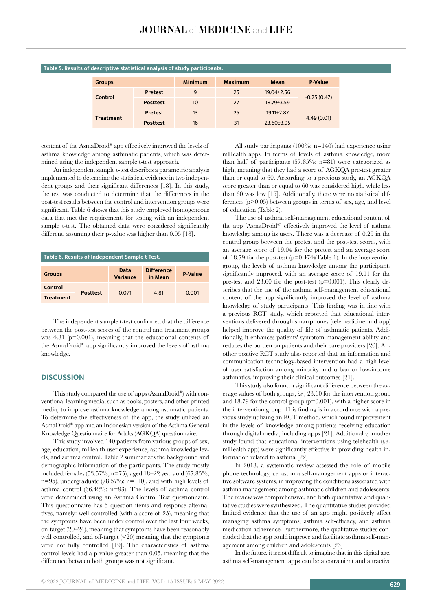| <b>Groups</b>    |                 | <b>Minimum</b> | Maximum | Mean             | <b>P-Value</b> |
|------------------|-----------------|----------------|---------|------------------|----------------|
| Control          | Pretest         | 9              | 25      | $19.04 \pm 2.56$ | $-0.25(0.47)$  |
|                  | <b>Posttest</b> | 10             | 27      | $18.79 \pm 3.59$ |                |
| <b>Treatment</b> | <b>Pretest</b>  | 13             | 25      | $19.11 \pm 2.87$ |                |
|                  | <b>Posttest</b> | 16             | 31      | $23.60 \pm 3.95$ | 4.49(0.01)     |

# **Table 5. Results of descriptive statistical analysis of study participants.**

content of the AsmaDroid® app effectively improved the levels of asthma knowledge among asthmatic patients, which was determined using the independent sample t-test approach.

An independent sample t-test describes a parametric analysis implemented to determine the statistical evidence in two independent groups and their significant differences [18]. In this study, the test was conducted to determine that the differences in the post-test results between the control and intervention groups were significant. Table 6 shows that this study employed homogeneous data that met the requirements for testing with an independent sample t-test. The obtained data were considered significantly different, assuming their p-value was higher than 0.05 [18].

| Table 6. Results of Independent Sample t-Test. |                 |                  |                              |                |
|------------------------------------------------|-----------------|------------------|------------------------------|----------------|
| <b>Groups</b>                                  |                 | Data<br>Variance | <b>Difference</b><br>in Mean | <b>P</b> Value |
| Control                                        | <b>Posttest</b> | 0.071            | 4.81                         | 0.001          |
| <b>Treatment</b>                               |                 |                  |                              |                |

The independent sample t-test confirmed that the difference between the post-test scores of the control and treatment groups was 4.81 (p=0.001), meaning that the educational contents of the AsmaDroid® app significantly improved the levels of asthma knowledge.

# **DISCUSSION**

This study compared the use of apps (AsmaDroid®) with conventional learning media, such as books, posters, and other printed media, to improve asthma knowledge among asthmatic patients. To determine the effectiveness of the app, the study utilized an AsmaDroid® app and an Indonesian version of the Asthma General Knowledge Questionnaire for Adults (AGKQA) questionnaire.

This study involved 140 patients from various groups of sex, age, education, mHealth user experience, asthma knowledge levels, and asthma control. Table 2 summarizes the background and demographic information of the participants. The study mostly included females (53.57%; n=75), aged 18–22 years old (67.85%; n=95), undergraduate  $(78.57\%; n=110)$ , and with high levels of asthma control (66.42%; n=93). The levels of asthma control were determined using an Asthma Control Test questionnaire. This questionnaire has 5 question items and response alternatives, namely: well-controlled (with a score of 25), meaning that the symptoms have been under control over the last four weeks, on-target (20–24), meaning that symptoms have been reasonably well controlled, and off-target (<20) meaning that the symptoms were not fully controlled [19]. The characteristics of asthma control levels had a p-value greater than 0.05, meaning that the difference between both groups was not significant.

All study participants (100%; n=140) had experience using mHealth apps. In terms of levels of asthma knowledge, more than half of participants (57.85%; n=81) were categorized as high, meaning that they had a score of AGKQA pre-test greater than or equal to 60. According to a previous study, an AGKQA score greater than or equal to 60 was considered high, while less than 60 was low [15]. Additionally, there were no statistical differences (p>0.05) between groups in terms of sex, age, and level of education (Table 2).

The use of asthma self-management educational content of the app (AsmaDroid®) effectively improved the level of asthma knowledge among its users. There was a decrease of 0.25 in the control group between the pretest and the post-test scores, with an average score of 19.04 for the pretest and an average score of 18.79 for the post-test (p=0.474)(Table 1). In the intervention group, the levels of asthma knowledge among the participants significantly improved, with an average score of 19.11 for the pre-test and 23.60 for the post-test (p=0.001). This clearly describes that the use of the asthma self-management educational content of the app significantly improved the level of asthma knowledge of study participants. This finding was in line with a previous RCT study, which reported that educational interventions delivered through smartphones (telemedicine and app) helped improve the quality of life of asthmatic patients. Additionally, it enhances patients' symptom management ability and reduces the burden on patients and their care providers [20]. Another positive RCT study also reported that an information and communication technology-based intervention had a high level of user satisfaction among minority and urban or low-income asthmatics, improving their clinical outcomes [21].

This study also found a significant difference between the average values of both groups, *i.e.*, 23.60 for the intervention group and 18.79 for the control group (p=0.001), with a higher score in the intervention group. This finding is in accordance with a previous study utilizing an RCT method, which found improvement in the levels of knowledge among patients receiving education through digital media, including apps [21]. Additionally, another study found that educational interventions using telehealth (*i.e.*, mHealth app) were significantly effective in providing health information related to asthma [22].

In 2018, a systematic review assessed the role of mobile phone technology, *i.e.* asthma self-management apps or interactive software systems, in improving the conditions associated with asthma management among asthmatic children and adolescents. The review was comprehensive, and both quantitative and qualitative studies were synthesized. The quantitative studies provided limited evidence that the use of an app might positively affect managing asthma symptoms, asthma self-efficacy, and asthma medication adherence. Furthermore, the qualitative studies concluded that the app could improve and facilitate asthma self-management among children and adolescents [23].

In the future, it is not difficult to imagine that in this digital age, asthma self-management apps can be a convenient and attractive